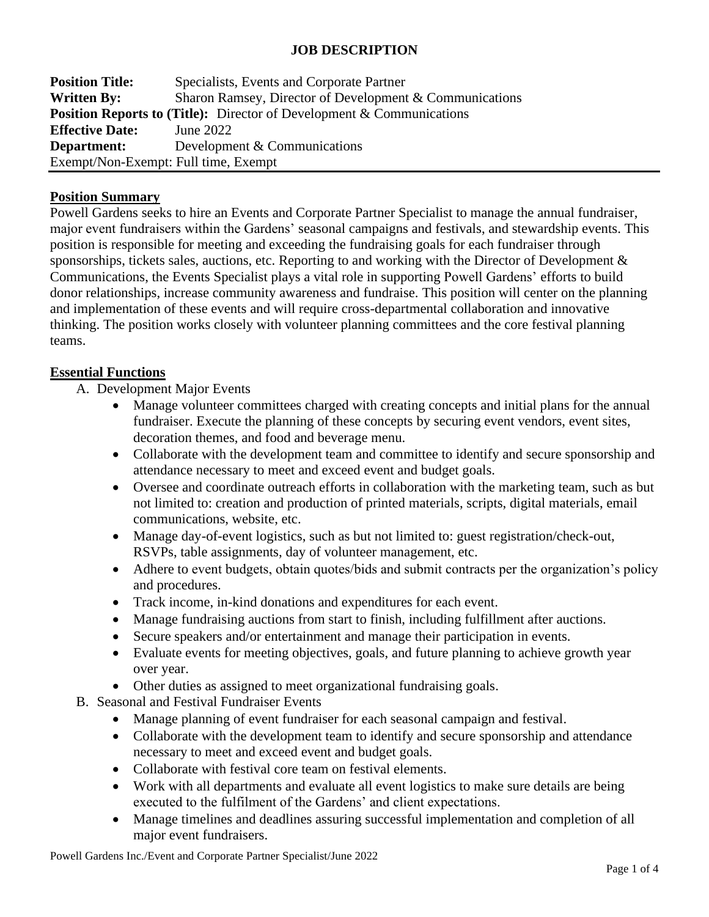## **JOB DESCRIPTION**

| <b>Position Title:</b>                                                       | Specialists, Events and Corporate Partner                 |  |  |
|------------------------------------------------------------------------------|-----------------------------------------------------------|--|--|
| <b>Written By:</b>                                                           | Sharon Ramsey, Director of Development $&$ Communications |  |  |
| <b>Position Reports to (Title):</b> Director of Development & Communications |                                                           |  |  |
| <b>Effective Date:</b>                                                       | June 2022                                                 |  |  |
| Department:                                                                  | Development & Communications                              |  |  |
| Exempt/Non-Exempt: Full time, Exempt                                         |                                                           |  |  |

#### **Position Summary**

Powell Gardens seeks to hire an Events and Corporate Partner Specialist to manage the annual fundraiser, major event fundraisers within the Gardens' seasonal campaigns and festivals, and stewardship events. This position is responsible for meeting and exceeding the fundraising goals for each fundraiser through sponsorships, tickets sales, auctions, etc. Reporting to and working with the Director of Development & Communications, the Events Specialist plays a vital role in supporting Powell Gardens' efforts to build donor relationships, increase community awareness and fundraise. This position will center on the planning and implementation of these events and will require cross-departmental collaboration and innovative thinking. The position works closely with volunteer planning committees and the core festival planning teams.

#### **Essential Functions**

- A. Development Major Events
	- Manage volunteer committees charged with creating concepts and initial plans for the annual fundraiser. Execute the planning of these concepts by securing event vendors, event sites, decoration themes, and food and beverage menu.
	- Collaborate with the development team and committee to identify and secure sponsorship and attendance necessary to meet and exceed event and budget goals.
	- Oversee and coordinate outreach efforts in collaboration with the marketing team, such as but not limited to: creation and production of printed materials, scripts, digital materials, email communications, website, etc.
	- Manage day-of-event logistics, such as but not limited to: guest registration/check-out, RSVPs, table assignments, day of volunteer management, etc.
	- Adhere to event budgets, obtain quotes/bids and submit contracts per the organization's policy and procedures.
	- Track income, in-kind donations and expenditures for each event.
	- Manage fundraising auctions from start to finish, including fulfillment after auctions.
	- Secure speakers and/or entertainment and manage their participation in events.
	- Evaluate events for meeting objectives, goals, and future planning to achieve growth year over year.
	- Other duties as assigned to meet organizational fundraising goals.
- B. Seasonal and Festival Fundraiser Events
	- Manage planning of event fundraiser for each seasonal campaign and festival.
	- Collaborate with the development team to identify and secure sponsorship and attendance necessary to meet and exceed event and budget goals.
	- Collaborate with festival core team on festival elements.
	- Work with all departments and evaluate all event logistics to make sure details are being executed to the fulfilment of the Gardens' and client expectations.
	- Manage timelines and deadlines assuring successful implementation and completion of all major event fundraisers.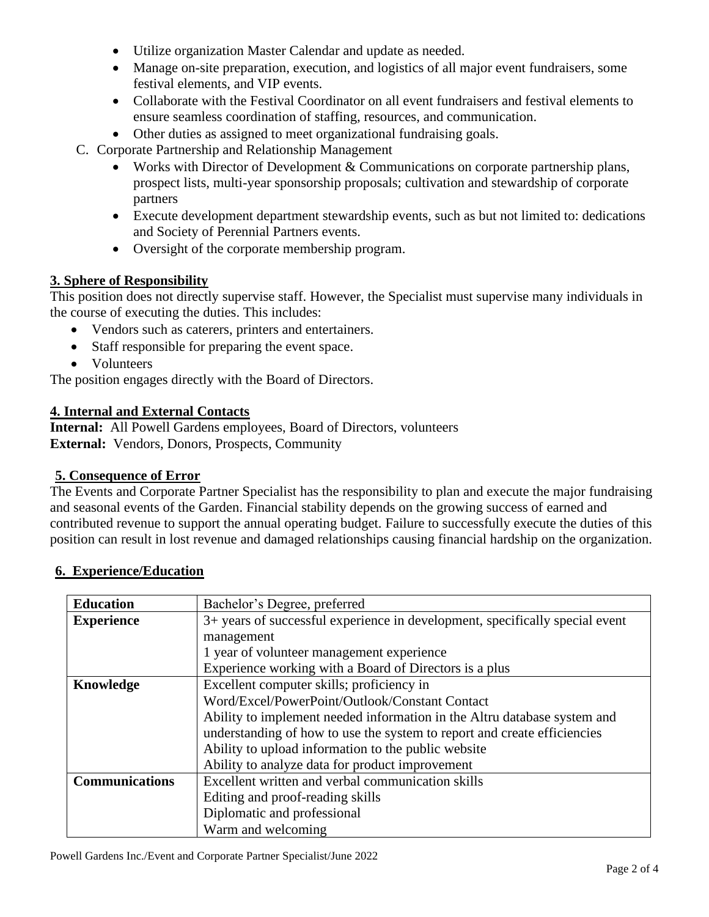- Utilize organization Master Calendar and update as needed.
- Manage on-site preparation, execution, and logistics of all major event fundraisers, some festival elements, and VIP events.
- Collaborate with the Festival Coordinator on all event fundraisers and festival elements to ensure seamless coordination of staffing, resources, and communication.
- Other duties as assigned to meet organizational fundraising goals.
- C. Corporate Partnership and Relationship Management
	- Works with Director of Development & Communications on corporate partnership plans, prospect lists, multi-year sponsorship proposals; cultivation and stewardship of corporate partners
	- Execute development department stewardship events, such as but not limited to: dedications and Society of Perennial Partners events.
	- Oversight of the corporate membership program.

# **3. Sphere of Responsibility**

This position does not directly supervise staff. However, the Specialist must supervise many individuals in the course of executing the duties. This includes:

- Vendors such as caterers, printers and entertainers.
- Staff responsible for preparing the event space.
- Volunteers

The position engages directly with the Board of Directors.

#### **4. Internal and External Contacts**

**Internal:** All Powell Gardens employees, Board of Directors, volunteers **External:** Vendors, Donors, Prospects, Community

## **5. Consequence of Error**

The Events and Corporate Partner Specialist has the responsibility to plan and execute the major fundraising and seasonal events of the Garden. Financial stability depends on the growing success of earned and contributed revenue to support the annual operating budget. Failure to successfully execute the duties of this position can result in lost revenue and damaged relationships causing financial hardship on the organization.

| <b>Education</b>      | Bachelor's Degree, preferred                                                 |  |
|-----------------------|------------------------------------------------------------------------------|--|
| <b>Experience</b>     | 3+ years of successful experience in development, specifically special event |  |
|                       | management                                                                   |  |
|                       | 1 year of volunteer management experience                                    |  |
|                       | Experience working with a Board of Directors is a plus                       |  |
| Knowledge             | Excellent computer skills; proficiency in                                    |  |
|                       | Word/Excel/PowerPoint/Outlook/Constant Contact                               |  |
|                       | Ability to implement needed information in the Altru database system and     |  |
|                       | understanding of how to use the system to report and create efficiencies     |  |
|                       | Ability to upload information to the public website                          |  |
|                       | Ability to analyze data for product improvement                              |  |
| <b>Communications</b> | Excellent written and verbal communication skills                            |  |
|                       | Editing and proof-reading skills                                             |  |
|                       | Diplomatic and professional                                                  |  |
|                       | Warm and welcoming                                                           |  |

## **6. Experience/Education**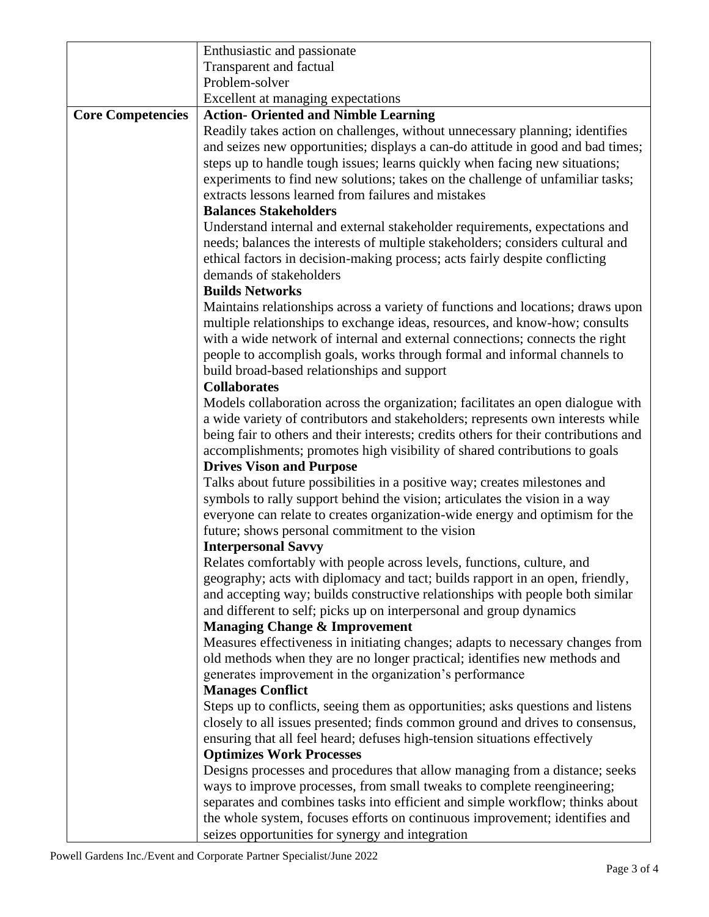|                          | Enthusiastic and passionate                                                                                              |  |
|--------------------------|--------------------------------------------------------------------------------------------------------------------------|--|
|                          | Transparent and factual                                                                                                  |  |
|                          | Problem-solver                                                                                                           |  |
|                          | Excellent at managing expectations                                                                                       |  |
| <b>Core Competencies</b> | <b>Action- Oriented and Nimble Learning</b>                                                                              |  |
|                          | Readily takes action on challenges, without unnecessary planning; identifies                                             |  |
|                          | and seizes new opportunities; displays a can-do attitude in good and bad times;                                          |  |
|                          | steps up to handle tough issues; learns quickly when facing new situations;                                              |  |
|                          | experiments to find new solutions; takes on the challenge of unfamiliar tasks;                                           |  |
|                          | extracts lessons learned from failures and mistakes                                                                      |  |
|                          | <b>Balances Stakeholders</b>                                                                                             |  |
|                          | Understand internal and external stakeholder requirements, expectations and                                              |  |
|                          | needs; balances the interests of multiple stakeholders; considers cultural and                                           |  |
|                          | ethical factors in decision-making process; acts fairly despite conflicting                                              |  |
|                          | demands of stakeholders                                                                                                  |  |
|                          | <b>Builds Networks</b>                                                                                                   |  |
|                          | Maintains relationships across a variety of functions and locations; draws upon                                          |  |
|                          | multiple relationships to exchange ideas, resources, and know-how; consults                                              |  |
|                          | with a wide network of internal and external connections; connects the right                                             |  |
|                          | people to accomplish goals, works through formal and informal channels to<br>build broad-based relationships and support |  |
|                          | <b>Collaborates</b>                                                                                                      |  |
|                          | Models collaboration across the organization; facilitates an open dialogue with                                          |  |
|                          | a wide variety of contributors and stakeholders; represents own interests while                                          |  |
|                          | being fair to others and their interests; credits others for their contributions and                                     |  |
|                          | accomplishments; promotes high visibility of shared contributions to goals                                               |  |
|                          | <b>Drives Vison and Purpose</b>                                                                                          |  |
|                          | Talks about future possibilities in a positive way; creates milestones and                                               |  |
|                          | symbols to rally support behind the vision; articulates the vision in a way                                              |  |
|                          | everyone can relate to creates organization-wide energy and optimism for the                                             |  |
|                          | future; shows personal commitment to the vision                                                                          |  |
|                          | <b>Interpersonal Savvy</b>                                                                                               |  |
|                          | Relates comfortably with people across levels, functions, culture, and                                                   |  |
|                          | geography; acts with diplomacy and tact; builds rapport in an open, friendly,                                            |  |
|                          | and accepting way; builds constructive relationships with people both similar                                            |  |
|                          | and different to self; picks up on interpersonal and group dynamics                                                      |  |
|                          | <b>Managing Change &amp; Improvement</b>                                                                                 |  |
|                          | Measures effectiveness in initiating changes; adapts to necessary changes from                                           |  |
|                          | old methods when they are no longer practical; identifies new methods and                                                |  |
|                          | generates improvement in the organization's performance                                                                  |  |
|                          | <b>Manages Conflict</b>                                                                                                  |  |
|                          | Steps up to conflicts, seeing them as opportunities; asks questions and listens                                          |  |
|                          | closely to all issues presented; finds common ground and drives to consensus,                                            |  |
|                          | ensuring that all feel heard; defuses high-tension situations effectively                                                |  |
|                          | <b>Optimizes Work Processes</b>                                                                                          |  |
|                          | Designs processes and procedures that allow managing from a distance; seeks                                              |  |
|                          | ways to improve processes, from small tweaks to complete reengineering;                                                  |  |
|                          | separates and combines tasks into efficient and simple workflow; thinks about                                            |  |
|                          | the whole system, focuses efforts on continuous improvement; identifies and                                              |  |
|                          | seizes opportunities for synergy and integration                                                                         |  |